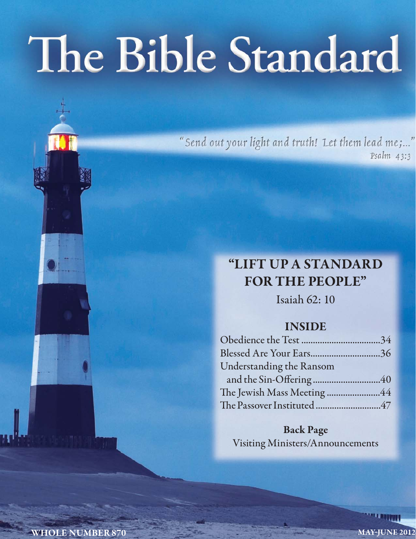# The Bible Standard

"Send out your light and truth! Let them lead me;..." Psalm 43:3

### **"LIFT UP A STANDARD FOR THE PEOPLE"**

Isaiah 62: 10

### **INSIDE**

| Blessed Are Your Ears36    |  |
|----------------------------|--|
| Understanding the Ransom   |  |
|                            |  |
| The Jewish Mass Meeting 44 |  |
|                            |  |

**Back Page** Visiting Ministers/Announcements

**WHOLE NUMBER 870 MAY-JUNE 2012**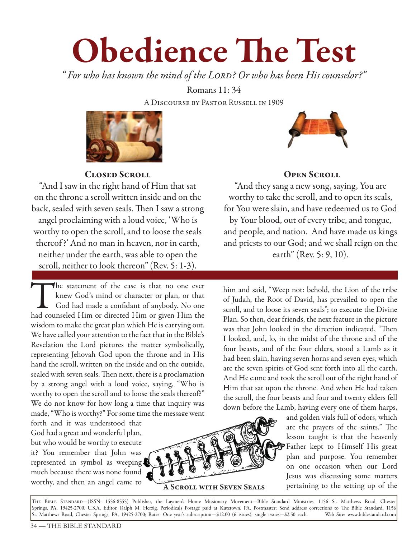## **Obedience The Test**

*" For who has known the mind of the Lord? Or who has been His counselor?"* 

Romans 11: 34 A Discourse by Pastor Russell in 1909



**Closed Scroll**

"And I saw in the right hand of Him that sat on the throne a scroll written inside and on the back, sealed with seven seals. Then I saw a strong angel proclaiming with a loud voice, 'Who is worthy to open the scroll, and to loose the seals thereof ?' And no man in heaven, nor in earth, neither under the earth, was able to open the scroll, neither to look thereon"(Rev. 5: 1-3).

The statement of the case is that no one ever knew God's mind or character or plan, or that God had made a confidant of anybody. No one had counseled Him or directed Him or given Him the wisdom to make the great plan which He is carrying out. We have called your attention to the fact that in the Bible's Revelation the Lord pictures the matter symbolically, representing Jehovah God upon the throne and in His hand the scroll, written on the inside and on the outside, sealed with seven seals. Then next, there is a proclamation by a strong angel with a loud voice, saying, "Who is worthy to open the scroll and to loose the seals thereof?" We do not know for how long a time that inquiry was made, "Who is worthy?" For some time the message went

forth and it was understood that God had a great and wonderful plan, but who would be worthy to execute it? You remember that John was represented in symbol as weeping much because there was none found worthy, and then an angel came to



**A Scroll with Seven Seals**



#### **OPEN SCROLL**

"And they sang a new song, saying, You are worthy to take the scroll, and to open its seals, for You were slain, and have redeemed us to God by Your blood, out of every tribe, and tongue, and people, and nation. And have made us kings and priests to our God; and we shall reign on the earth" (Rev. 5: 9, 10).

him and said, "Weep not: behold, the Lion of the tribe of Judah, the Root of David, has prevailed to open the scroll, and to loose its seven seals"; to execute the Divine Plan. So then, dear friends, the next feature in the picture was that John looked in the direction indicated, "Then I looked, and, lo, in the midst of the throne and of the four beasts, and of the four elders, stood a Lamb as it had been slain, having seven horns and seven eyes, which are the seven spirits of God sent forth into all the earth. And He came and took the scroll out of the right hand of Him that sat upon the throne. And when He had taken the scroll, the four beasts and four and twenty elders fell down before the Lamb, having every one of them harps,

and golden vials full of odors, which are the prayers of the saints." The lesson taught is that the heavenly Father kept to Himself His great plan and purpose. You remember on one occasion when our Lord Jesus was discussing some matters pertaining to the setting up of the

The Bible Standard—(ISSN: 1556-8555) Publisher, the Laymen's Home Missionary Movement—Bible Standard Ministries, 1156 St. Matthews Road, Chester Springs, PA, 19425-2700, U.S.A. Editor, Ralph M. Herzig. Periodicals Postage paid at Kutztown, PA. Postmaster: Send address corrections to The Bible Standard, 1156 St. Matthews Road, Chester Springs, PA, 19425-2700; Rates: One year's subscription—\$12.00 (6 issues); single issues—\$2.50 each. Web Site: www.biblestandard.com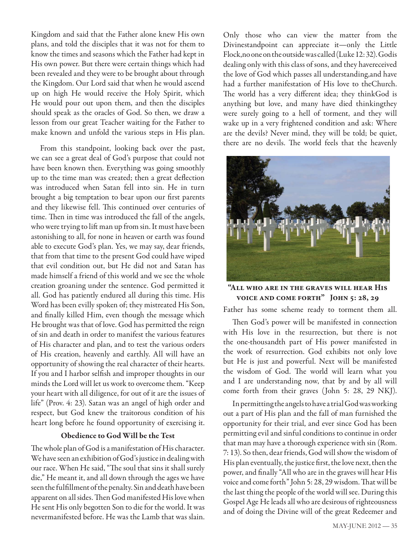Kingdom and said that the Father alone knew His own plans, and told the disciples that it was not for them to know the times and seasons which the Father had kept in His own power. But there were certain things which had been revealed and they were to be brought about through the Kingdom. Our Lord said that when he would ascend up on high He would receive the Holy Spirit, which He would pour out upon them, and then the disciples should speak as the oracles of God. So then, we draw a lesson from our great Teacher waiting for the Father to make known and unfold the various steps in His plan.

From this standpoint, looking back over the past, we can see a great deal of God's purpose that could not have been known then. Everything was going smoothly up to the time man was created; then a great deflection was introduced when Satan fell into sin. He in turn brought a big temptation to bear upon our first parents and they likewise fell. This continued over centuries of time. Then in time was introduced the fall of the angels, who were trying to lift man up from sin. It must have been astonishing to all, for none in heaven or earth was found able to execute God's plan. Yes, we may say, dear friends, that from that time to the present God could have wiped that evil condition out, but He did not and Satan has made himself a friend of this world and we see the whole creation groaning under the sentence. God permitted it all. God has patiently endured all during this time. His Word has been evilly spoken of; they mistreated His Son, and finally killed Him, even though the message which He brought was that of love. God has permitted the reign of sin and death in order to manifest the various features of His character and plan, and to test the various orders of His creation, heavenly and earthly. All will have an opportunity of showing the real character of their hearts. If you and I harbor selfish and improper thoughts in our minds the Lord will let us work to overcome them. "Keep your heart with all diligence, for out of it are the issues of life" (Prov. 4: 23). Satan was an angel of high order and respect, but God knew the traitorous condition of his heart long before he found opportunity of exercising it.

#### **Obedience to God Will be the Test**

The whole plan of God is a manifestation of His character. We have seen an exhibition of God's justice in dealing with our race. When He said, "The soul that sins it shall surely die," He meant it, and all down through the ages we have seen the fulfillment of the penalty. Sin and death have been apparent on all sides. Then God manifested His love when He sent His only begotten Son to die for the world. It was nevermanifested before. He was the Lamb that was slain.

Only those who can view the matter from the Divinestandpoint can appreciate it—only the Little Flock,no one on the outside was called (Luke 12: 32). Godis dealing only with this class of sons, and they havereceived the love of God which passes all understanding,and have had a further manifestation of His love to theChurch. The world has a very different idea; they thinkGod is anything but love, and many have died thinkingthey were surely going to a hell of torment, and they will wake up in a very frightened condition and ask: Where are the devils? Never mind, they will be told; be quiet, there are no devils. The world feels that the heavenly



**"All who are in the graves will hear His voice and come forth" John 5: 28, 29**

Father has some scheme ready to torment them all.

Then God's power will be manifested in connection with His love in the resurrection, but there is not the one-thousandth part of His power manifested in the work of resurrection. God exhibits not only love but He is just and powerful. Next will be manifested the wisdom of God. The world will learn what you and I are understanding now, that by and by all will come forth from their graves (John 5: 28, 29 NKJ).

In permitting the angels to have a trial God was working out a part of His plan and the fall of man furnished the opportunity for their trial, and ever since God has been permitting evil and sinful conditions to continue in order that man may have a thorough experience with sin (Rom. 7: 13). So then, dear friends, God will show the wisdom of His plan eventually, the justice first, the love next, then the power, and finally "All who are in the graves will hear His voice and come forth" John 5: 28, 29 wisdom. That will be the last thing the people of the world will see. During this Gospel Age He leads all who are desirous of righteousness and of doing the Divine will of the great Redeemer and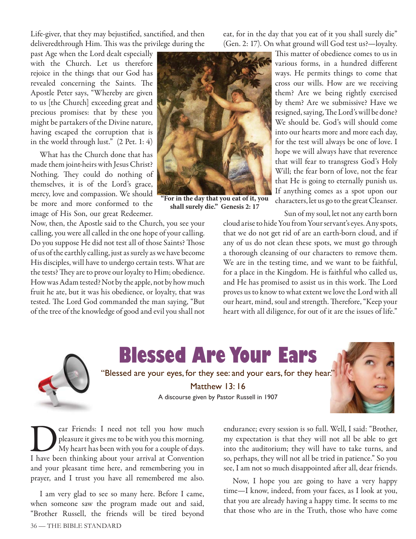Life-giver, that they may bejustified, sanctified, and then deliveredthrough Him. This was the privilege during the

past Age when the Lord dealt especially with the Church. Let us therefore rejoice in the things that our God has revealed concerning the Saints. The Apostle Peter says, "Whereby are given to us [the Church] exceeding great and precious promises: that by these you might be partakers of the Divine nature, having escaped the corruption that is in the world through lust." (2 Pet. 1: 4)

What has the Church done that has made them joint-heirs with Jesus Christ? Nothing. They could do nothing of themselves, it is of the Lord's grace, mercy, love and compassion. We should be more and more conformed to the image of His Son, our great Redeemer.

Now, then, the Apostle said to the Church, you see your calling, you were all called in the one hope of your calling. Do you suppose He did not test all of those Saints? Those of us of the earthly calling, just as surely as we have become His disciples, will have to undergo certain tests. What are the tests? They are to prove our loyalty to Him; obedience. How was Adam tested? Not by the apple, not by how much fruit he ate, but it was his obedience, or loyalty, that was tested. The Lord God commanded the man saying, "But of the tree of the knowledge of good and evil you shall not



**"For in the day that you eat of it, you shall surely die." Genesis 2: 17**

eat, for in the day that you eat of it you shall surely die" (Gen. 2: 17). On what ground will God test us?—loyalty.

> This matter of obedience comes to us in various forms, in a hundred different ways. He permits things to come that cross our wills. How are we receiving them? Are we being rightly exercised by them? Are we submissive? Have we resigned, saying, The Lord's will be done? We should be. God's will should come into our hearts more and more each day, for the test will always be one of love. I hope we will always have that reverence that will fear to transgress God's Holy Will; the fear born of love, not the fear that He is going to eternally punish us. If anything comes as a spot upon our characters, let us go to the great Cleanser.

Sun of my soul, let not any earth born cloud arise to hide You from Your servant's eyes. Any spots, that we do not get rid of are an earth-born cloud, and if any of us do not clean these spots, we must go through a thorough cleansing of our characters to remove them. We are in the testing time, and we want to be faithful, for a place in the Kingdom. He is faithful who called us, and He has promised to assist us in this work. The Lord proves us to know to what extent we love the Lord with all our heart, mind, soul and strength. Therefore, "Keep your heart with all diligence, for out of it are the issues of life."



### **Blessed Are Your Ears**

"Blessed are your eyes, for they see: and your ears, for they hear."

Matthew 13: 16

A discourse given by Pastor Russell in 1907



**Dear Friends:** I need not tell you how much pleasure it gives me to be with you this morning.<br>My heart has been with you for a couple of days.<br>I have been thinking about your arrival at Convention pleasure it gives me to be with you this morning. My heart has been with you for a couple of days. I have been thinking about your arrival at Convention and your pleasant time here, and remembering you in prayer, and I trust you have all remembered me also.

I am very glad to see so many here. Before I came, when someone saw the program made out and said, "Brother Russell, the friends will be tired beyond

endurance; every session is so full. Well, I said: "Brother, my expectation is that they will not all be able to get into the auditorium; they will have to take turns, and so, perhaps, they will not all be tried in patience." So you see, I am not so much disappointed after all, dear friends.

Now, I hope you are going to have a very happy time—I know, indeed, from your faces, as I look at you, that you are already having a happy time. It seems to me that those who are in the Truth, those who have come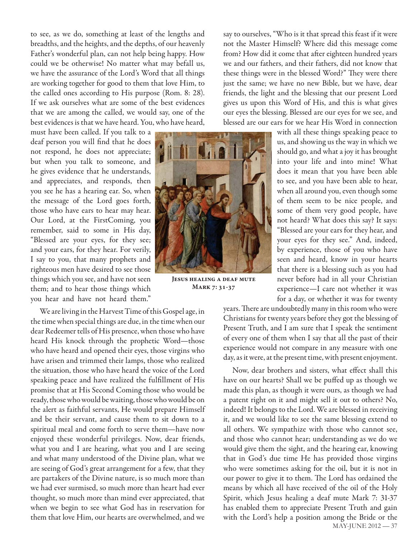to see, as we do, something at least of the lengths and breadths, and the heights, and the depths, of our heavenly Father's wonderful plan, can not help being happy. How could we be otherwise! No matter what may befall us, we have the assurance of the Lord's Word that all things are working together for good to them that love Him, to the called ones according to His purpose (Rom. 8: 28). If we ask ourselves what are some of the best evidences that we are among the called, we would say, one of the best evidences is that we have heard. You, who have heard,

must have been called. If you talk to a deaf person you will find that he does not respond, he does not appreciate; but when you talk to someone, and he gives evidence that he understands, and appreciates, and responds, then you see he has a hearing ear. So, when the message of the Lord goes forth, those who have ears to hear may hear. Our Lord, at the FirstComing, you remember, said to some in His day, "Blessed are your eyes, for they see; and your ears, for they hear. For verily, I say to you, that many prophets and righteous men have desired to see those things which you see, and have not seen them; and to hear those things which you hear and have not heard them."

We are living in the Harvest Time of this Gospel age, in the time when special things are due, in the time when our dear Redeemer tells of His presence, when those who have heard His knock through the prophetic Word—those who have heard and opened their eyes, those virgins who have arisen and trimmed their lamps, those who realized the situation, those who have heard the voice of the Lord speaking peace and have realized the fulfillment of His promise that at His Second Coming those who would be ready, those who would be waiting, those who would be on the alert as faithful servants, He would prepare Himself and be their servant, and cause them to sit down to a spiritual meal and come forth to serve them—have now enjoyed these wonderful privileges. Now, dear friends, what you and I are hearing, what you and I are seeing and what many understood of the Divine plan, what we are seeing of God's great arrangement for a few, that they are partakers of the Divine nature, is so much more than we had ever surmised, so much more than heart had ever thought, so much more than mind ever appreciated, that when we begin to see what God has in reservation for them that love Him, our hearts are overwhelmed, and we



**Jesus healing a deaf mute Mark 7: 31-37**

say to ourselves, "Who is it that spread this feast if it were not the Master Himself? Where did this message come from? How did it come that after eighteen hundred years we and our fathers, and their fathers, did not know that these things were in the blessed Word?" They were there just the same; we have no new Bible, but we have, dear friends, the light and the blessing that our present Lord gives us upon this Word of His, and this is what gives our eyes the blessing. Blessed are our eyes for we see, and blessed are our ears for we hear His Word in connection

> with all these things speaking peace to us, and showing us the way in which we should go, and what a joy it has brought into your life and into mine! What does it mean that you have been able to see, and you have been able to hear, when all around you, even though some of them seem to be nice people, and some of them very good people, have not heard? What does this say? It says: "Blessed are your ears for they hear, and your eyes for they see." And, indeed, by experience, those of you who have seen and heard, know in your hearts that there is a blessing such as you had never before had in all your Christian experience—I care not whether it was for a day, or whether it was for twenty

years. There are undoubtedly many in this room who were Christians for twenty years before they got the blessing of Present Truth, and I am sure that I speak the sentiment of every one of them when I say that all the past of their experience would not compare in any measure with one day, as it were, at the present time, with present enjoyment.

MAY-JUNE 2012 — 37 Now, dear brothers and sisters, what effect shall this have on our hearts? Shall we be puffed up as though we made this plan, as though it were ours, as though we had a patent right on it and might sell it out to others? No, indeed! It belongs to the Lord. We are blessed in receiving it, and we would like to see the same blessing extend to all others. We sympathize with those who cannot see, and those who cannot hear; understanding as we do we would give them the sight, and the hearing ear, knowing that in God's due time He has provided those virgins who were sometimes asking for the oil, but it is not in our power to give it to them. The Lord has ordained the means by which all have received of the oil of the Holy Spirit, which Jesus healing a deaf mute Mark 7: 31-37 has enabled them to appreciate Present Truth and gain with the Lord's help a position among the Bride or the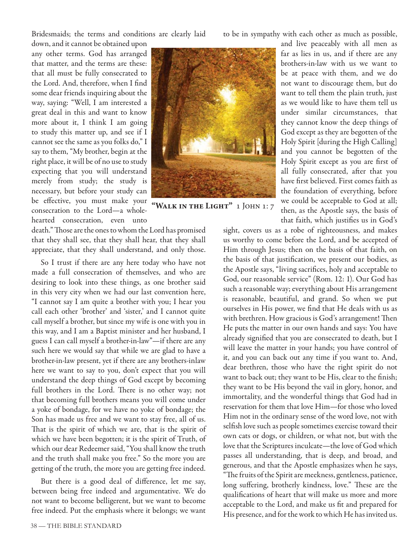Bridesmaids; the terms and conditions are clearly laid

to be in sympathy with each other as much as possible,

down, and it cannot be obtained upon any other terms. God has arranged that matter, and the terms are these: that all must be fully consecrated to the Lord. And, therefore, when I find some dear friends inquiring about the way, saying: "Well, I am interested a great deal in this and want to know more about it, I think I am going to study this matter up, and see if I cannot see the same as you folks do," I say to them, "My brother, begin at the right place, it will be of no use to study expecting that you will understand merely from study; the study is necessary, but before your study can be effective, you must make your consecration to the Lord—a wholehearted consecration, even unto



**"Walk in the Light"** 1 John 1: 7

death." Those are the ones to whom the Lord has promised that they shall see, that they shall hear, that they shall appreciate, that they shall understand, and only those.

So I trust if there are any here today who have not made a full consecration of themselves, and who are desiring to look into these things, as one brother said in this very city when we had our last convention here, "I cannot say I am quite a brother with you; I hear you call each other 'brother' and 'sister,' and I cannot quite call myself a brother, but since my wife is one with you in this way, and I am a Baptist minister and her husband, I guess I can call myself a brother-in-law"—if there are any such here we would say that while we are glad to have a brother-in-law present, yet if there are any brothers-inlaw here we want to say to you, don't expect that you will understand the deep things of God except by becoming full brothers in the Lord. There is no other way; not that becoming full brothers means you will come under a yoke of bondage, for we have no yoke of bondage; the Son has made us free and we want to stay free, all of us. That is the spirit of which we are, that is the spirit of which we have been begotten; it is the spirit of Truth, of which our dear Redeemer said, "You shall know the truth and the truth shall make you free." So the more you are getting of the truth, the more you are getting free indeed.

But there is a good deal of difference, let me say, between being free indeed and argumentative. We do not want to become belligerent, but we want to become free indeed. Put the emphasis where it belongs; we want and live peaceably with all men as far as lies in us, and if there are any brothers-in-law with us we want to be at peace with them, and we do not want to discourage them, but do want to tell them the plain truth, just as we would like to have them tell us under similar circumstances, that they cannot know the deep things of God except as they are begotten of the Holy Spirit [during the High Calling] and you cannot be begotten of the Holy Spirit except as you are first of all fully consecrated, after that you have first believed. First comes faith as the foundation of everything, before we could be acceptable to God at all; then, as the Apostle says, the basis of that faith, which justifies us in God's

sight, covers us as a robe of righteousness, and makes us worthy to come before the Lord, and be accepted of Him through Jesus; then on the basis of that faith, on the basis of that justification, we present our bodies, as the Apostle says, "living sacrifices, holy and acceptable to God, our reasonable service" (Rom. 12: 1). Our God has such a reasonable way; everything about His arrangement is reasonable, beautiful, and grand. So when we put ourselves in His power, we find that He deals with us as with brethren. How gracious is God's arrangement! Then He puts the matter in our own hands and says: You have already signified that you are consecrated to death, but I will leave the matter in your hands; you have control of it, and you can back out any time if you want to. And, dear brethren, those who have the right spirit do not want to back out; they want to be His, clear to the finish; they want to be His beyond the vail in glory, honor, and immortality, and the wonderful things that God had in reservation for them that love Him—for those who loved Him not in the ordinary sense of the word love, not with selfish love such as people sometimes exercise toward their own cats or dogs, or children, or what not, but with the love that the Scriptures inculcate—the love of God which passes all understanding, that is deep, and broad, and generous, and that the Apostle emphasizes when he says, "The fruits of the Spirit are meekness, gentleness, patience, long suffering, brotherly kindness, love." These are the qualifications of heart that will make us more and more acceptable to the Lord, and make us fit and prepared for His presence, and for the work to which He has invited us.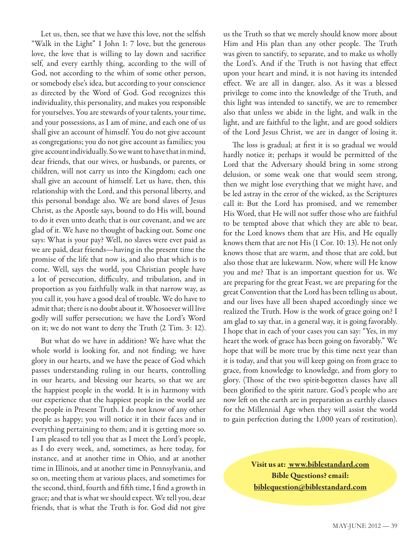Let us, then, see that we have this love, not the selfish "Walk in the Light" 1 John 1: 7 love, but the generous love, the love that is willing to lay down and sacrifice self, and every earthly thing, according to the will of God, not according to the whim of some other person, or somebody else's idea, but according to your conscience as directed by the Word of God. God recognizes this individuality, this personality, and makes you responsible for yourselves. You are stewards of your talents, your time, and your possessions, as I am of mine, and each one of us shall give an account of himself. You do not give account as congregations; you do not give account as families; you give account individually. So we want to have that in mind, dear friends, that our wives, or husbands, or parents, or children, will not carry us into the Kingdom; each one shall give an account of himself. Let us have, then, this relationship with the Lord, and this personal liberty, and this personal bondage also. We are bond slaves of Jesus Christ, as the Apostle says, bound to do His will, bound to do it even unto death; that is our covenant, and we are glad of it. We have no thought of backing out. Some one says: What is your pay? Well, no slaves were ever paid as we are paid, dear friends—having in the present time the promise of the life that now is, and also that which is to come. Well, says the world, you Christian people have a lot of persecution, difficulty, and tribulation, and in proportion as you faithfully walk in that narrow way, as you call it, you have a good deal of trouble. We do have to admit that; there is no doubt about it. Whosoever will live godly will suffer persecution; we have the Lord's Word on it; we do not want to deny the Truth (2 Tim. 3: 12).

But what do we have in addition? We have what the whole world is looking for, and not finding; we have glory in our hearts, and we have the peace of God which passes understanding ruling in our hearts, controlling in our hearts, and blessing our hearts, so that we are the happiest people in the world. It is in harmony with our experience that the happiest people in the world are the people in Present Truth. I do not know of any other people as happy; you will notice it in their faces and in everything pertaining to them; and it is getting more so. I am pleased to tell you that as I meet the Lord's people, as I do every week, and, sometimes, as here today, for instance, and at another time in Ohio, and at another time in Illinois, and at another time in Pennsylvania, and so on, meeting them at various places, and sometimes for the second, third, fourth and fifth time, I find a growth in grace; and that is what we should expect. We tell you, dear friends, that is what the Truth is for. God did not give us the Truth so that we merely should know more about Him and His plan than any other people. The Truth was given to sanctify, to separate, and to make us wholly the Lord's. And if the Truth is not having that effect upon your heart and mind, it is not having its intended effect. We are all in danger, also. As it was a blessed privilege to come into the knowledge of the Truth, and this light was intended to sanctify, we are to remember also that unless we abide in the light, and walk in the light, and are faithful to the light, and are good soldiers of the Lord Jesus Christ, we are in danger of losing it.

The loss is gradual; at first it is so gradual we would hardly notice it; perhaps it would be permitted of the Lord that the Adversary should bring in some strong delusion, or some weak one that would seem strong, then we might lose everything that we might have, and be led astray in the error of the wicked, as the Scriptures call it: But the Lord has promised, and we remember His Word, that He will not suffer those who are faithful to be tempted above that which they are able to bear, for the Lord knows them that are His, and He equally knows them that are not His (1 Cor. 10: 13). He not only knows those that are warm, and those that are cold, but also those that are lukewarm. Now, where will He know you and me? That is an important question for us. We are preparing for the great Feast, we are preparing for the great Convention that the Lord has been telling us about, and our lives have all been shaped accordingly since we realized the Truth. How is the work of grace going on? I am glad to say that, in a general way, it is going favorably. I hope that in each of your cases you can say: "Yes, in my heart the work of grace has been going on favorably." We hope that will be more true by this time next year than it is today, and that you will keep going on from grace to grace, from knowledge to knowledge, and from glory to glory. (Those of the two spirit-begotten classes have all been glorified to the spirit nature. God's people who are now left on the earth are in preparation as earthly classes for the Millennial Age when they will assist the world to gain perfection during the 1,000 years of restitution).

> **Visit us at: www.biblestandard.com Bible Questions? email: biblequestion@biblestandard.com**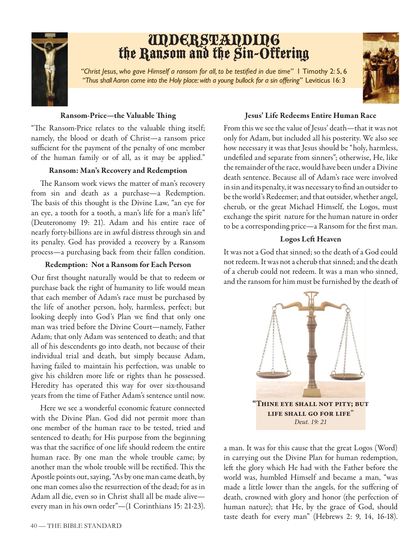

## UNDERSTANDING<br>the Ransom and the Sin-Offering

"Christ Jesus, who gave Himself a ransom for all, to be testified in due time" 1 Timothy 2: 5, 6 *"Thus shall Aaron come into the Holy place: with a young bullock for a sin offering"* Leviticus 16: 3



#### **Ransom-Price—the Valuable Thing**

"The Ransom-Price relates to the valuable thing itself; namely, the blood or death of Christ—a ransom price sufficient for the payment of the penalty of one member of the human family or of all, as it may be applied."

#### **Ransom: Man's Recovery and Redemption**

The Ransom work views the matter of man's recovery from sin and death as a purchase—a Redemption. The basis of this thought is the Divine Law, "an eye for an eye, a tooth for a tooth, a man's life for a man's life" (Deuteronomy 19: 21). Adam and his entire race of nearly forty-billions are in awful distress through sin and its penalty. God has provided a recovery by a Ransom process—a purchasing back from their fallen condition.

#### **Redemption: Not a Ransom for Each Person**

Our first thought naturally would be that to redeem or purchase back the right of humanity to life would mean that each member of Adam's race must be purchased by the life of another person, holy, harmless, perfect; but looking deeply into God's Plan we find that only one man was tried before the Divine Court—namely, Father Adam; that only Adam was sentenced to death; and that all of his descendents go into death, not because of their individual trial and death, but simply because Adam, having failed to maintain his perfection, was unable to give his children more life or rights than he possessed. Heredity has operated this way for over six-thousand years from the time of Father Adam's sentence until now.

Here we see a wonderful economic feature connected with the Divine Plan. God did not permit more than one member of the human race to be tested, tried and sentenced to death; for His purpose from the beginning was that the sacrifice of one life should redeem the entire human race. By one man the whole trouble came; by another man the whole trouble will be rectified. This the Apostle points out, saying, "As by one man came death, by one man comes also the resurrection of the dead; for as in Adam all die, even so in Christ shall all be made alive every man in his own order"—(1 Corinthians 15: 21-23).

#### **Jesus' Life Redeems Entire Human Race**

From this we see the value of Jesus' death—that it was not only for Adam, but included all his posterity. We also see how necessary it was that Jesus should be "holy, harmless, undefiled and separate from sinners"; otherwise, He, like the remainder of the race, would have been under a Divine death sentence. Because all of Adam's race were involved in sin and its penalty, it was necessary to find an outsider to be the world's Redeemer; and that outsider, whether angel, cherub, or the great Michael Himself, the Logos, must exchange the spirit nature for the human nature in order to be a corresponding price—a Ransom for the first man.

#### **Logos Left Heaven**

It was not a God that sinned; so the death of a God could not redeem. It was not a cherub that sinned; and the death of a cherub could not redeem. It was a man who sinned, and the ransom for him must be furnished by the death of



a man. It was for this cause that the great Logos (Word) in carrying out the Divine Plan for human redemption, left the glory which He had with the Father before the world was, humbled Himself and became a man, "was made a little lower than the angels, for the suffering of death, crowned with glory and honor (the perfection of human nature); that He, by the grace of God, should taste death for every man" (Hebrews 2: 9, 14, 16-18).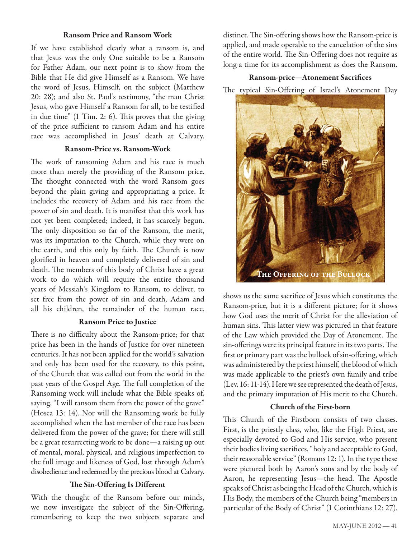#### **Ransom Price and Ransom Work**

If we have established clearly what a ransom is, and that Jesus was the only One suitable to be a Ransom for Father Adam, our next point is to show from the Bible that He did give Himself as a Ransom. We have the word of Jesus, Himself, on the subject (Matthew 20: 28); and also St. Paul's testimony, "the man Christ Jesus, who gave Himself a Ransom for all, to be testified in due time"  $(1 \text{ Tim. 2: 6})$ . This proves that the giving of the price sufficient to ransom Adam and his entire race was accomplished in Jesus' death at Calvary.

#### **Ransom-Price vs. Ransom-Work**

The work of ransoming Adam and his race is much more than merely the providing of the Ransom price. The thought connected with the word Ransom goes beyond the plain giving and appropriating a price. It includes the recovery of Adam and his race from the power of sin and death. It is manifest that this work has not yet been completed; indeed, it has scarcely begun. The only disposition so far of the Ransom, the merit, was its imputation to the Church, while they were on the earth, and this only by faith. The Church is now glorified in heaven and completely delivered of sin and death. The members of this body of Christ have a great work to do which will require the entire thousand years of Messiah's Kingdom to Ransom, to deliver, to set free from the power of sin and death, Adam and all his children, the remainder of the human race.

#### **Ransom Price to Justice**

There is no difficulty about the Ransom-price; for that price has been in the hands of Justice for over nineteen centuries. It has not been applied for the world's salvation and only has been used for the recovery, to this point, of the Church that was called out from the world in the past years of the Gospel Age. The full completion of the Ransoming work will include what the Bible speaks of, saying, "I will ransom them from the power of the grave" (Hosea 13: 14). Nor will the Ransoming work be fully accomplished when the last member of the race has been delivered from the power of the grave; for there will still be a great resurrecting work to be done—a raising up out of mental, moral, physical, and religious imperfection to the full image and likeness of God, lost through Adam's disobedience and redeemed by the precious blood at Calvary.

#### **The Sin-Offering Is Different**

With the thought of the Ransom before our minds, we now investigate the subject of the Sin-Offering, remembering to keep the two subjects separate and

distinct. The Sin-offering shows how the Ransom-price is applied, and made operable to the cancelation of the sins of the entire world. The Sin-Offering does not require as long a time for its accomplishment as does the Ransom.

#### **Ransom-price—Atonement Sacrifices**

The typical Sin-Offering of Israel's Atonement Day



shows us the same sacrifice of Jesus which constitutes the Ransom-price, but it is a different picture; for it shows how God uses the merit of Christ for the alleviation of human sins. This latter view was pictured in that feature of the Law which provided the Day of Atonement. The sin-offerings were its principal feature in its two parts. The first or primary part was the bullock of sin-offering, which was administered by the priest himself, the blood of which was made applicable to the priest's own family and tribe (Lev. 16: 11-14). Here we see represented the death of Jesus, and the primary imputation of His merit to the Church.

#### **Church of the First-born**

This Church of the Firstborn consists of two classes. First, is the priestly class, who, like the High Priest, are especially devoted to God and His service, who present their bodies living sacrifices, "holy and acceptable to God, their reasonable service" (Romans 12: 1). In the type these were pictured both by Aaron's sons and by the body of Aaron, he representing Jesus—the head. The Apostle speaks of Christ as being the Head of the Church, which is His Body, the members of the Church being "members in particular of the Body of Christ" (1 Corinthians 12: 27).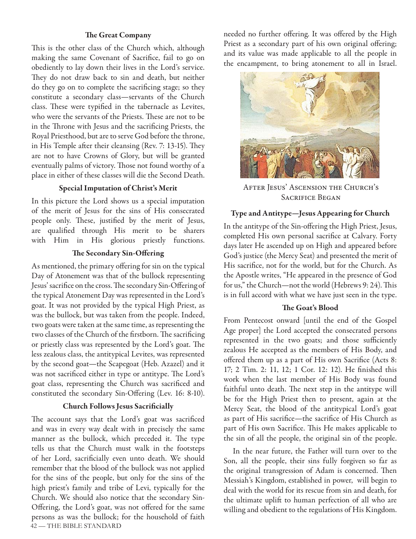#### **The Great Company**

This is the other class of the Church which, although making the same Covenant of Sacrifice, fail to go on obediently to lay down their lives in the Lord's service. They do not draw back to sin and death, but neither do they go on to complete the sacrificing stage; so they constitute a secondary class—servants of the Church class. These were typified in the tabernacle as Levites, who were the servants of the Priests. These are not to be in the Throne with Jesus and the sacrificing Priests, the Royal Priesthood, but are to serve God before the throne, in His Temple after their cleansing (Rev. 7: 13-15). They are not to have Crowns of Glory, but will be granted eventually palms of victory. Those not found worthy of a place in either of these classes will die the Second Death.

#### **Special Imputation of Christ's Merit**

In this picture the Lord shows us a special imputation of the merit of Jesus for the sins of His consecrated people only. These, justified by the merit of Jesus, are qualified through His merit to be sharers with Him in His glorious priestly functions.

#### **The Secondary Sin-Offering**

As mentioned, the primary offering for sin on the typical Day of Atonement was that of the bullock representing Jesus' sacrifice on the cross. The secondary Sin-Offering of the typical Atonement Day was represented in the Lord's goat. It was not provided by the typical High Priest, as was the bullock, but was taken from the people. Indeed, two goats were taken at the same time, as representing the two classes of the Church of the firstborn. The sacrificing or priestly class was represented by the Lord's goat. The less zealous class, the antitypical Levites, was represented by the second goat—the Scapegoat (Heb. Azazel) and it was not sacrificed either in type or antitype. The Lord's goat class, representing the Church was sacrificed and constituted the secondary Sin-Offering (Lev. 16: 8-10).

#### **Church Follows Jesus Sacrificially**

42 — THE BIBLE STANDARD The account says that the Lord's goat was sacrificed and was in every way dealt with in precisely the same manner as the bullock, which preceded it. The type tells us that the Church must walk in the footsteps of her Lord, sacrificially even unto death. We should remember that the blood of the bullock was not applied for the sins of the people, but only for the sins of the high priest's family and tribe of Levi, typically for the Church. We should also notice that the secondary Sin-Offering, the Lord's goat, was not offered for the same persons as was the bullock; for the household of faith needed no further offering. It was offered by the High Priest as a secondary part of his own original offering; and its value was made applicable to all the people in the encampment, to bring atonement to all in Israel.



After Jesus' Ascension the Church's Sacrifice Began

#### **Type and Antitype—Jesus Appearing for Church**

In the antitype of the Sin-offering the High Priest, Jesus, completed His own personal sacrifice at Calvary. Forty days later He ascended up on High and appeared before God's justice (the Mercy Seat) and presented the merit of His sacrifice, not for the world, but for the Church. As the Apostle writes, "He appeared in the presence of God for us," the Church—not the world (Hebrews 9: 24). This is in full accord with what we have just seen in the type.

#### The Goat's Blood

From Pentecost onward [until the end of the Gospel Age proper] the Lord accepted the consecrated persons represented in the two goats; and those sufficiently zealous He accepted as the members of His Body, and offered them up as a part of His own Sacrifice (Acts 8: 17; 2 Tim. 2: 11, 12; 1 Cor. 12: 12). He finished this work when the last member of His Body was found faithful unto death. The next step in the antitype will be for the High Priest then to present, again at the Mercy Seat, the blood of the antitypical Lord's goat as part of His sacrifice—the sacrifice of His Church as part of His own Sacrifice. This He makes applicable to the sin of all the people, the original sin of the people.

In the near future, the Father will turn over to the Son, all the people, their sins fully forgiven so far as the original transgression of Adam is concerned. Then Messiah's Kingdom, established in power, will begin to deal with the world for its rescue from sin and death, for the ultimate uplift to human perfection of all who are willing and obedient to the regulations of His Kingdom.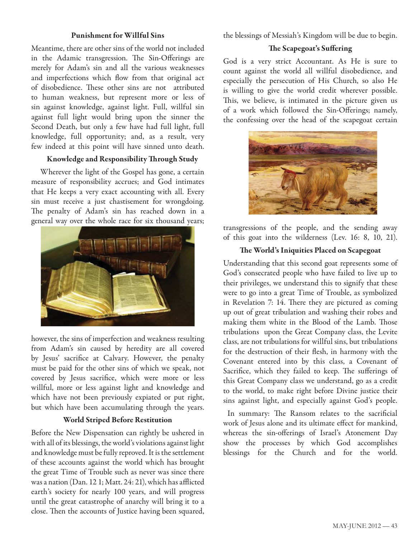#### **Punishment for Willful Sins**

Meantime, there are other sins of the world not included in the Adamic transgression. The Sin-Offerings are merely for Adam's sin and all the various weaknesses and imperfections which flow from that original act of disobedience. These other sins are not attributed to human weakness, but represent more or less of sin against knowledge, against light. Full, willful sin against full light would bring upon the sinner the Second Death, but only a few have had full light, full knowledge, full opportunity; and, as a result, very few indeed at this point will have sinned unto death.

#### **Knowledge and Responsibility Th rough Study**

Wherever the light of the Gospel has gone, a certain measure of responsibility accrues; and God intimates that He keeps a very exact accounting with all. Every sin must receive a just chastisement for wrongdoing. The penalty of Adam's sin has reached down in a general way over the whole race for six thousand years;



however, the sins of imperfection and weakness resulting from Adam's sin caused by heredity are all covered by Jesus' sacrifice at Calvary. However, the penalty must be paid for the other sins of which we speak, not covered by Jesus sacrifice, which were more or less willful, more or less against light and knowledge and which have not been previously expiated or put right, but which have been accumulating through the years.

#### **World Striped Before Restitution**

Before the New Dispensation can rightly be ushered in with all of its blessings, the world's violations against light and knowledge must be fully reproved. It is the settlement of these accounts against the world which has brought the great Time of Trouble such as never was since there was a nation (Dan. 12 1; Matt. 24: 21), which has afflicted earth's society for nearly 100 years, and will progress until the great catastrophe of anarchy will bring it to a close. Then the accounts of Justice having been squared, the blessings of Messiah's Kingdom will be due to begin.

#### **The Scapegoat's Suffering**

God is a very strict Accountant. As He is sure to count against the world all willful disobedience, and especially the persecution of His Church, so also He is willing to give the world credit wherever possible. This, we believe, is intimated in the picture given us of a work which followed the Sin-Offerings; namely, the confessing over the head of the scapegoat certain



transgressions of the people, and the sending away of this goat into the wilderness (Lev. 16: 8, 10, 21).

#### The World's Iniquities Placed on Scapegoat

Understanding that this second goat represents some of God's consecrated people who have failed to live up to their privileges, we understand this to signify that these were to go into a great Time of Trouble, as symbolized in Revelation 7: 14. There they are pictured as coming up out of great tribulation and washing their robes and making them white in the Blood of the Lamb. Those tribulations upon the Great Company class, the Levite class, are not tribulations for willful sins, but tribulations for the destruction of their flesh, in harmony with the Covenant entered into by this class, a Covenant of Sacrifice, which they failed to keep. The sufferings of this Great Company class we understand, go as a credit to the world, to make right before Divine justice their sins against light, and especially against God's people.

In summary: The Ransom relates to the sacrificial work of Jesus alone and its ultimate effect for mankind, whereas the sin-offerings of Israel's Atonement Day show the processes by which God accomplishes blessings for the Church and for the world.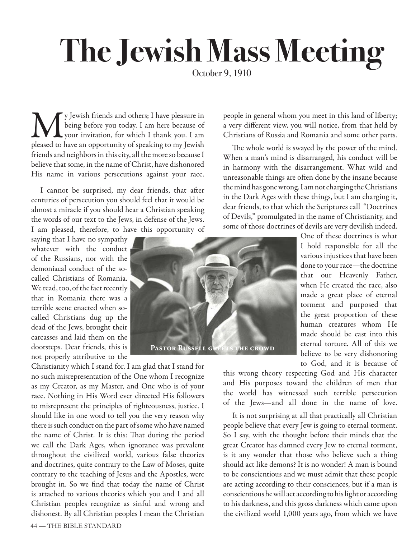## **The Jewish Mass Meeting**

We y Jewish friends and others; I have pleasure in<br>being before you today. I am here because of<br>pour invitation, for which I thank you. I am<br>pleased to have an opportunity of speaking to my lewish being before you today. I am here because of  $\mathbf{V}$  vour invitation, for which I thank you. I am pleased to have an opportunity of speaking to my Jewish friends and neighbors in this city, all the more so because I believe that some, in the name of Christ, have dishonored His name in various persecutions against your race.

I cannot be surprised, my dear friends, that after centuries of persecution you should feel that it would be almost a miracle if you should hear a Christian speaking the words of our text to the Jews, in defense of the Jews. I am pleased, therefore, to have this opportunity of

saying that I have no sympathy whatever with the conduct of the Russians, nor with the demoniacal conduct of the socalled Christians of Romania. We read, too, of the fact recently that in Romania there was a terrible scene enacted when socalled Christians dug up the dead of the Jews, brought their carcasses and laid them on the doorsteps. Dear friends, this is not properly attributive to the

Christianity which I stand for. I am glad that I stand for no such misrepresentation of the One whom I recognize as my Creator, as my Master, and One who is of your race. Nothing in His Word ever directed His followers to misrepresent the principles of righteousness, justice. I should like in one word to tell you the very reason why there is such conduct on the part of some who have named the name of Christ. It is this: That during the period we call the Dark Ages, when ignorance was prevalent throughout the civilized world, various false theories and doctrines, quite contrary to the Law of Moses, quite contrary to the teaching of Jesus and the Apostles, were brought in. So we find that today the name of Christ is attached to various theories which you and I and all Christian peoples recognize as sinful and wrong and dishonest. By all Christian peoples I mean the Christian

people in general whom you meet in this land of liberty; a very different view, you will notice, from that held by Christians of Russia and Romania and some other parts.

The whole world is swayed by the power of the mind. When a man's mind is disarranged, his conduct will be in harmony with the disarrangement. What wild and unreasonable things are often done by the insane because the mind has gone wrong. I am not charging the Christians in the Dark Ages with these things, but I am charging it, dear friends, to that which the Scriptures call "Doctrines of Devils," promulgated in the name of Christianity, and some of those doctrines of devils are very devilish indeed.

One of these doctrines is what I hold responsible for all the various injustices that have been done to your race—the doctrine that our Heavenly Father, when He created the race, also made a great place of eternal torment and purposed that the great proportion of these human creatures whom He made should be cast into this eternal torture. All of this we believe to be very dishonoring to God, and it is because of

this wrong theory respecting God and His character and His purposes toward the children of men that the world has witnessed such terrible persecution of the Jews—and all done in the name of love.

It is not surprising at all that practically all Christian people believe that every Jew is going to eternal torment. So I say, with the thought before their minds that the great Creator has damned every Jew to eternal torment, is it any wonder that those who believe such a thing should act like demons? It is no wonder! A man is bound to be conscientious and we must admit that these people are acting according to their consciences, but if a man is conscientious he will act according to his light or according to his darkness, and this gross darkness which came upon the civilized world 1,000 years ago, from which we have

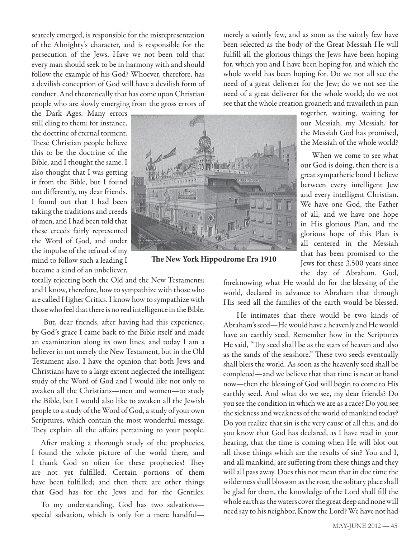scarcely emerged, is responsible for the misrepresentation of the Almighty's character, and is responsible for the persecution of the Jews. Have we not been told that every man should seek to be in harmony with and should follow the example of his God? Whoever, therefore, has a devilish conception of God will have a devilish form of conduct. And theoretically that has come upon Christian people who are slowly emerging from the gross errors of

the Dark Ages. Many errors still cling to them; for instance, the doctrine of eternal torment. These Christian people believe this to be the doctrine of the Bible, and I thought the same. I also thought that I was getting it from the Bible, but I found out differently, my dear friends. I found out that I had been taking the traditions and creeds of men, and I had been told that these creeds fairly represented the Word of God, and under the impulse of the refusal of my mind to follow such a leading I became a kind of an unbeliever,



**The New York Hippodrome Era 1910** 

totally rejecting both the Old and the New Testaments; and I know, therefore, how to sympathize with those who are called Higher Critics. I know how to sympathize with those who feel that there is no real intelligence in the Bible.

But, dear friends, after having had this experience, by God's grace I came back to the Bible itself and made an examination along its own lines, and today I am a believer in not merely the New Testament, but in the Old Testament also. I have the opinion that both Jews and Christians have to a large extent neglected the intelligent study of the Word of God and I would like not only to awaken all the Christians—men and women—to study the Bible, but I would also like to awaken all the Jewish people to a study of the Word of God, a study of your own Scriptures, which contain the most wonderful message. They explain all the affairs pertaining to your people.

After making a thorough study of the prophecies, I found the whole picture of the world there, and I thank God so often for these prophecies! They are not yet fulfilled. Certain portions of them have been fulfilled; and then there are other things that God has for the Jews and for the Gentiles.

To my understanding, God has two salvations special salvation, which is only for a mere handfulmerely a saintly few, and as soon as the saintly few have been selected as the body of the Great Messiah He will fulfill all the glorious things the Jews have been hoping for, which you and I have been hoping for, and which the whole world has been hoping for. Do we not all see the need of a great deliverer for the Jew; do we not see the need of a great deliverer for the whole world; do we not see that the whole creation groaneth and travaileth in pain

> together, waiting, waiting for our Messiah, my Messiah, for the Messiah God has promised, the Messiah of the whole world?

> When we come to see what our God is doing, then there is a great sympathetic bond I believe between every intelligent Jew and every intelligent Christian. We have one God, the Father of all, and we have one hope in His glorious Plan, and the glorious hope of this Plan is all centered in the Messiah that has been promised to the Jews for these 3,500 years since the day of Abraham. God,

foreknowing what He would do for the blessing of the world, declared in advance to Abraham that through His seed all the families of the earth would be blessed.

 He intimates that there would be two kinds of Abraham's seed—He would have a heavenly and He would have an earthly seed. Remember how in the Scriptures He said, "Thy seed shall be as the stars of heaven and also as the sands of the seashore." These two seeds eventually shall bless the world. As soon as the heavenly seed shall be completed—and we believe that that time is near at hand now—then the blessing of God will begin to come to His earthly seed. And what do we see, my dear friends? Do you see the condition in which we are as a race? Do you see the sickness and weakness of the world of mankind today? Do you realize that sin is the very cause of all this, and do you know that God has declared, as I have read in your hearing, that the time is coming when He will blot out all those things which are the results of sin? You and I, and all mankind, are suffering from these things and they will all pass away. Does this not mean that in due time the wilderness shall blossom as the rose, the solitary place shall be glad for them, the knowledge of the Lord shall fill the whole earth as the waters cover the great deep and none will need say to his neighbor, Know the Lord? We have not had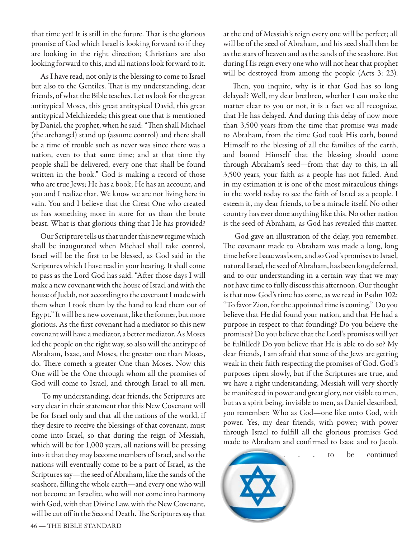that time yet! It is still in the future. That is the glorious promise of God which Israel is looking forward to if they are looking in the right direction; Christians are also looking forward to this, and all nations look forward to it.

As I have read, not only is the blessing to come to Israel but also to the Gentiles. That is my understanding, dear friends, of what the Bible teaches. Let us look for the great antitypical Moses, this great antitypical David, this great antitypical Melchizedek; this great one that is mentioned by Daniel, the prophet, when he said: "Then shall Michael (the archangel) stand up (assume control) and there shall be a time of trouble such as never was since there was a nation, even to that same time; and at that time thy people shall be delivered, every one that shall be found written in the book." God is making a record of those who are true Jews; He has a book; He has an account, and you and I realize that. We know we are not living here in vain. You and I believe that the Great One who created us has something more in store for us than the brute beast. What is that glorious thing that He has provided?

Our Scripture tells us that under this new regime which shall be inaugurated when Michael shall take control, Israel will be the first to be blessed, as God said in the Scriptures which I have read in your hearing. It shall come to pass as the Lord God has said. "After those days I will make a new covenant with the house of Israel and with the house of Judah, not according to the covenant I made with them when I took them by the hand to lead them out of Egypt." It will be a new covenant, like the former, but more glorious. As the first covenant had a mediator so this new covenant will have a mediator, a better mediator. As Moses led the people on the right way, so also will the antitype of Abraham, Isaac, and Moses, the greater one than Moses, do. There cometh a greater One than Moses. Now this One will be the One through whom all the promises of God will come to Israel, and through Israel to all men.

 To my understanding, dear friends, the Scriptures are very clear in their statement that this New Covenant will be for Israel only and that all the nations of the world, if they desire to receive the blessings of that covenant, must come into Israel, so that during the reign of Messiah, which will be for 1,000 years, all nations will be pressing into it that they may become members of Israel, and so the nations will eventually come to be a part of Israel, as the Scriptures say—the seed of Abraham, like the sands of the seashore, filling the whole earth—and every one who will not become an Israelite, who will not come into harmony with God, with that Divine Law, with the New Covenant, will be cut off in the Second Death. The Scriptures say that at the end of Messiah's reign every one will be perfect; all will be of the seed of Abraham, and his seed shall then be as the stars of heaven and as the sands of the seashore. But during His reign every one who will not hear that prophet will be destroyed from among the people (Acts 3: 23).

Then, you inquire, why is it that God has so long delayed? Well, my dear brethren, whether I can make the matter clear to you or not, it is a fact we all recognize, that He has delayed. And during this delay of now more than 3,500 years from the time that promise was made to Abraham, from the time God took His oath, bound Himself to the blessing of all the families of the earth, and bound Himself that the blessing should come through Abraham's seed—from that day to this, in all 3,500 years, your faith as a people has not failed. And in my estimation it is one of the most miraculous things in the world today to see the faith of Israel as a people. I esteem it, my dear friends, to be a miracle itself. No other country has ever done anything like this. No other nation is the seed of Abraham, as God has revealed this matter.

 God gave an illustration of the delay, you remember. The covenant made to Abraham was made a long, long time before Isaac was born, and so God's promises to Israel, natural Israel, the seed of Abraham, has been long deferred, and to our understanding in a certain way that we may not have time to fully discuss this afternoon. Our thought is that now God's time has come, as we read in Psalm 102: "To favor Zion, for the appointed time is coming." Do you believe that He did found your nation, and that He had a purpose in respect to that founding? Do you believe the promises? Do you believe that the Lord's promises will yet be fulfilled? Do you believe that He is able to do so? My dear friends, I am afraid that some of the Jews are getting weak in their faith respecting the promises of God. God's purposes ripen slowly, but if the Scriptures are true, and we have a right understanding, Messiah will very shortly be manifested in power and great glory, not visible to men, but as a spirit being, invisible to men, as Daniel described, you remember: Who as God—one like unto God, with power. Yes, my dear friends, with power; with power through Israel to fulfill all the glorious promises God made to Abraham and confirmed to Isaac and to Jacob.



to be continued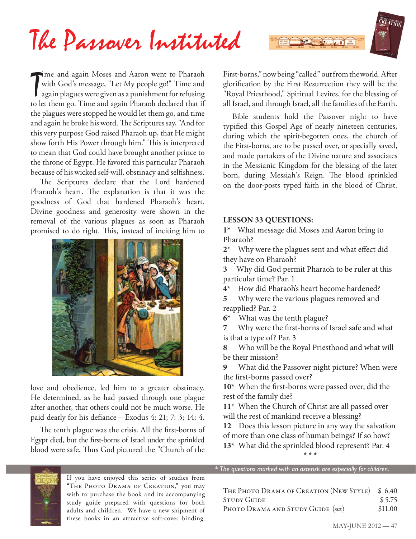

The and again Moses and Aaron went to Pharaoh<br>with God's message, "Let My people go!" Time and<br>again plagues were given as a punishment for refusing<br>to let them go. Time and again Pharaoh declared that if with God's message, "Let My people go!" Time and again plagues were given as a punishment for refusing to let them go. Time and again Pharaoh declared that if the plagues were stopped he would let them go, and time and again he broke his word. The Scriptures say, "And for this very purpose God raised Pharaoh up, that He might show forth His Power through him." This is interpreted to mean that God could have brought another prince to the throne of Egypt. He favored this particular Pharaoh because of his wicked self-will, obstinacy and selfishness.

The Scriptures declare that the Lord hardened Pharaoh's heart. The explanation is that it was the goodness of God that hardened Pharaoh's heart. Divine goodness and generosity were shown in the removal of the various plagues as soon as Pharaoh promised to do right. This, instead of inciting him to



love and obedience, led him to a greater obstinacy. He determined, as he had passed through one plague after another, that others could not be much worse. He paid dearly for his defiance—Exodus 4: 21; 7: 3; 14: 4.

The tenth plague was the crisis. All the first-borns of Egypt died, but the first-borns of Israel under the sprinkled blood were safe. Thus God pictured the "Church of the

First-borns," now being "called" out from the world. After glorification by the First Resurrection they will be the "Royal Priesthood," Spiritual Levites, for the blessing of all Israel, and through Israel, all the families of the Earth.

Bible students hold the Passover night to have typified this Gospel Age of nearly nineteen centuries, during which the spirit-begotten ones, the church of the First-borns, are to be passed over, or specially saved, and made partakers of the Divine nature and associates in the Messianic Kingdom for the blessing of the later born, during Messiah's Reign. The blood sprinkled on the door-posts typed faith in the blood of Christ.

#### **LESSON 33 QUESTIONS:**

**1\*** What message did Moses and Aaron bring to Pharaoh?

2<sup>\*</sup> Why were the plagues sent and what effect did they have on Pharaoh?

**3** Why did God permit Pharaoh to be ruler at this particular time? Par. 1

**4\*** How did Pharaoh's heart become hardened?

**5** Why were the various plagues removed and reapplied? Par. 2

**6\***What was the tenth plague?

**7 Why were the first-borns of Israel safe and what** is that a type of? Par. 3

**8** Who will be the Royal Priesthood and what will be their mission?

**9** What did the Passover night picture? When were the first-borns passed over?

10<sup>\*</sup> When the first-borns were passed over, did the rest of the family die?

**11\*** When the Church of Christ are all passed over will the rest of mankind receive a blessing?

**12** Does this lesson picture in any way the salvation

of more than one class of human beings? If so how? **13\*** What did the sprinkled blood represent? Par. 4

**\* \* \***



If you have enjoyed this series of studies from "The Photo Drama of Creation," you may wish to purchase the book and its accompanying study guide prepared with questions for both adults and children. We have a new shipment of these books in an attractive soft-cover binding.

*\* The questions marked with an asterisk are especially for children.*

THE PHOTO DRAMA OF CREATION (NEW STYLE) \$6.40 STUDY GUIDE  $$5.75$ PHOTO DRAMA AND STUDY GUIDE (set) \$11.00